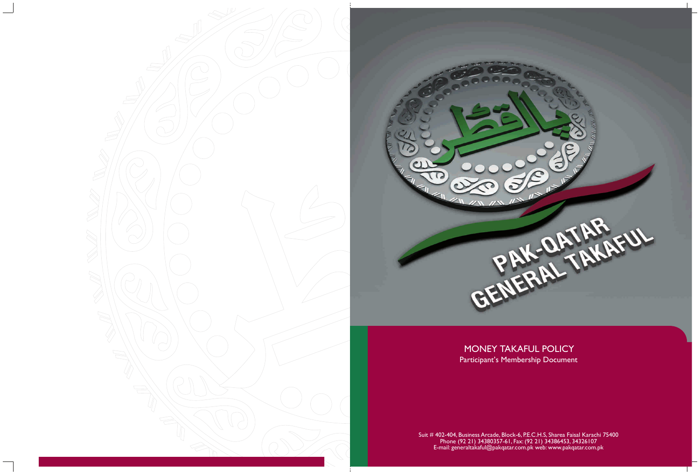# MONEY TAKAFUL POLICY Participant's Membership Document



Suit # 402-404, Business Arcade, Block-6, P.E.C.H.S, Sharea Faisal Karachi 75400 Phone (92 21) 34380357-61, Fax: (92 21) 34386453, 34326107 E-mail: generaltakaful@pakqatar.com.pk web: www.pakqatar.com.pk